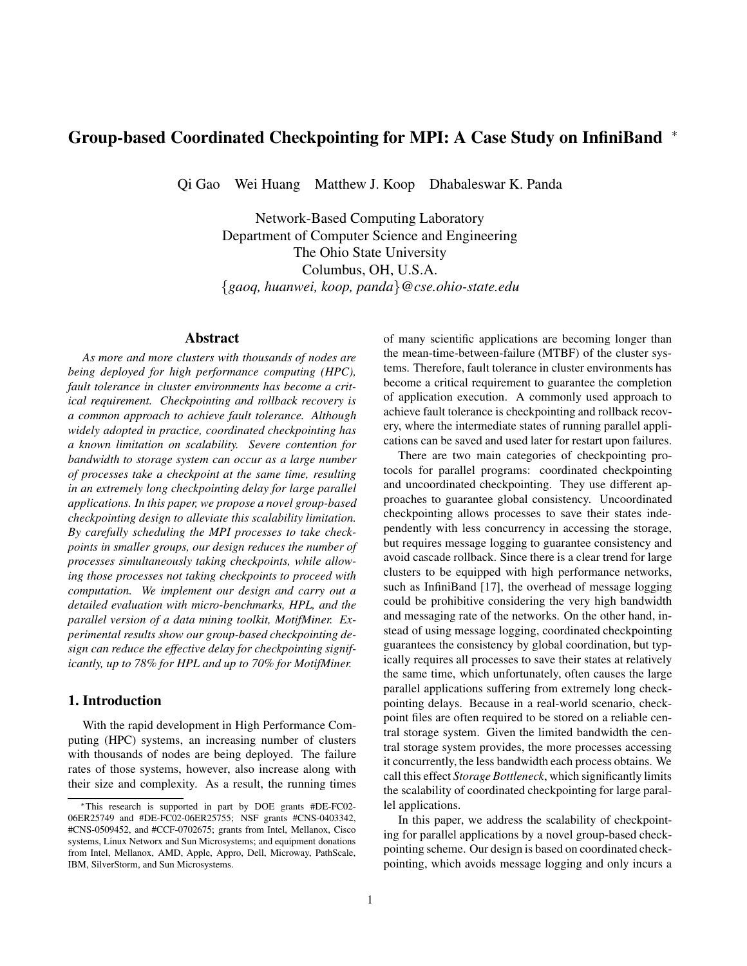# **Group-based Coordinated Checkpointing for MPI: A Case Study on InfiniBand** <sup>∗</sup>

Qi Gao Wei Huang Matthew J. Koop Dhabaleswar K. Panda

Network-Based Computing Laboratory Department of Computer Science and Engineering The Ohio State University Columbus, OH, U.S.A. {*gaoq, huanwei, koop, panda*}*@cse.ohio-state.edu*

# **Abstract**

*As more and more clusters with thousands of nodes are being deployed for high performance computing (HPC), fault tolerance in cluster environments has become a critical requirement. Checkpointing and rollback recovery is a common approach to achieve fault tolerance. Although widely adopted in practice, coordinated checkpointing has a known limitation on scalability. Severe contention for bandwidth to storage system can occur as a large number of processes take a checkpoint at the same time, resulting in an extremely long checkpointing delay for large parallel applications. In this paper, we propose a novel group-based checkpointing design to alleviate this scalability limitation. By carefully scheduling the MPI processes to take checkpoints in smaller groups, our design reduces the number of processes simultaneously taking checkpoints, while allowing those processes not taking checkpoints to proceed with computation. We implement our design and carry out a detailed evaluation with micro-benchmarks, HPL, and the parallel version of a data mining toolkit, MotifMiner. Experimental results show our group-based checkpointing design can reduce the effective delay for checkpointing significantly, up to 78% for HPL and up to 70% for MotifMiner.*

# **1. Introduction**

With the rapid development in High Performance Computing (HPC) systems, an increasing number of clusters with thousands of nodes are being deployed. The failure rates of those systems, however, also increase along with their size and complexity. As a result, the running times of many scientific applications are becoming longer than the mean-time-between-failure (MTBF) of the cluster systems. Therefore, fault tolerance in cluster environments has become a critical requirement to guarantee the completion of application execution. A commonly used approach to achieve fault tolerance is checkpointing and rollback recovery, where the intermediate states of running parallel applications can be saved and used later for restart upon failures.

There are two main categories of checkpointing protocols for parallel programs: coordinated checkpointing and uncoordinated checkpointing. They use different approaches to guarantee global consistency. Uncoordinated checkpointing allows processes to save their states independently with less concurrency in accessing the storage, but requires message logging to guarantee consistency and avoid cascade rollback. Since there is a clear trend for large clusters to be equipped with high performance networks, such as InfiniBand [17], the overhead of message logging could be prohibitive considering the very high bandwidth and messaging rate of the networks. On the other hand, instead of using message logging, coordinated checkpointing guarantees the consistency by global coordination, but typically requires all processes to save their states at relatively the same time, which unfortunately, often causes the large parallel applications suffering from extremely long checkpointing delays. Because in a real-world scenario, checkpoint files are often required to be stored on a reliable central storage system. Given the limited bandwidth the central storage system provides, the more processes accessing it concurrently, the less bandwidth each process obtains. We call this effect *Storage Bottleneck*, which significantly limits the scalability of coordinated checkpointing for large parallel applications.

In this paper, we address the scalability of checkpointing for parallel applications by a novel group-based checkpointing scheme. Our design is based on coordinated checkpointing, which avoids message logging and only incurs a

<sup>∗</sup>This research is supported in part by DOE grants #DE-FC02- 06ER25749 and #DE-FC02-06ER25755; NSF grants #CNS-0403342, #CNS-0509452, and #CCF-0702675; grants from Intel, Mellanox, Cisco systems, Linux Networx and Sun Microsystems; and equipment donations from Intel, Mellanox, AMD, Apple, Appro, Dell, Microway, PathScale, IBM, SilverStorm, and Sun Microsystems.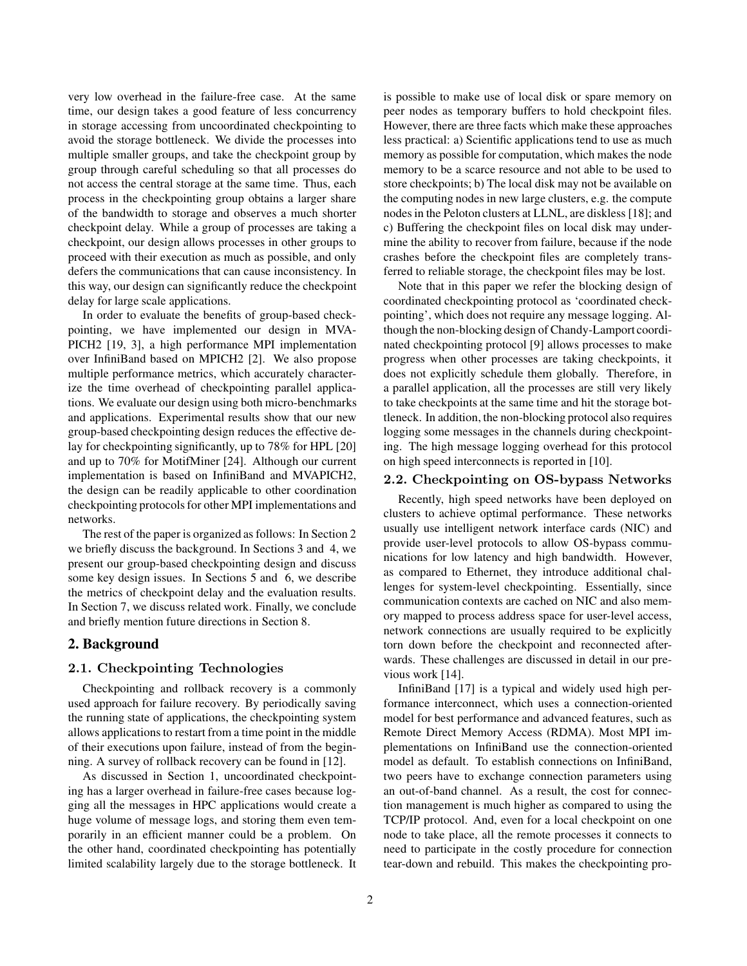very low overhead in the failure-free case. At the same time, our design takes a good feature of less concurrency in storage accessing from uncoordinated checkpointing to avoid the storage bottleneck. We divide the processes into multiple smaller groups, and take the checkpoint group by group through careful scheduling so that all processes do not access the central storage at the same time. Thus, each process in the checkpointing group obtains a larger share of the bandwidth to storage and observes a much shorter checkpoint delay. While a group of processes are taking a checkpoint, our design allows processes in other groups to proceed with their execution as much as possible, and only defers the communications that can cause inconsistency. In this way, our design can significantly reduce the checkpoint delay for large scale applications.

In order to evaluate the benefits of group-based checkpointing, we have implemented our design in MVA-PICH2 [19, 3], a high performance MPI implementation over InfiniBand based on MPICH2 [2]. We also propose multiple performance metrics, which accurately characterize the time overhead of checkpointing parallel applications. We evaluate our design using both micro-benchmarks and applications. Experimental results show that our new group-based checkpointing design reduces the effective delay for checkpointing significantly, up to 78% for HPL [20] and up to 70% for MotifMiner [24]. Although our current implementation is based on InfiniBand and MVAPICH2, the design can be readily applicable to other coordination checkpointing protocols for other MPI implementations and networks.

The rest of the paper is organized as follows: In Section 2 we briefly discuss the background. In Sections 3 and 4, we present our group-based checkpointing design and discuss some key design issues. In Sections 5 and 6, we describe the metrics of checkpoint delay and the evaluation results. In Section 7, we discuss related work. Finally, we conclude and briefly mention future directions in Section 8.

# **2. Background**

## **2.1. Checkpointing Technologies**

Checkpointing and rollback recovery is a commonly used approach for failure recovery. By periodically saving the running state of applications, the checkpointing system allows applications to restart from a time point in the middle of their executions upon failure, instead of from the beginning. A survey of rollback recovery can be found in [12].

As discussed in Section 1, uncoordinated checkpointing has a larger overhead in failure-free cases because logging all the messages in HPC applications would create a huge volume of message logs, and storing them even temporarily in an efficient manner could be a problem. On the other hand, coordinated checkpointing has potentially limited scalability largely due to the storage bottleneck. It is possible to make use of local disk or spare memory on peer nodes as temporary buffers to hold checkpoint files. However, there are three facts which make these approaches less practical: a) Scientific applications tend to use as much memory as possible for computation, which makes the node memory to be a scarce resource and not able to be used to store checkpoints; b) The local disk may not be available on the computing nodes in new large clusters, e.g. the compute nodes in the Peloton clusters at LLNL, are diskless [18]; and c) Buffering the checkpoint files on local disk may undermine the ability to recover from failure, because if the node crashes before the checkpoint files are completely transferred to reliable storage, the checkpoint files may be lost.

Note that in this paper we refer the blocking design of coordinated checkpointing protocol as 'coordinated checkpointing', which does not require any message logging. Although the non-blocking design of Chandy-Lamport coordinated checkpointing protocol [9] allows processes to make progress when other processes are taking checkpoints, it does not explicitly schedule them globally. Therefore, in a parallel application, all the processes are still very likely to take checkpoints at the same time and hit the storage bottleneck. In addition, the non-blocking protocol also requires logging some messages in the channels during checkpointing. The high message logging overhead for this protocol on high speed interconnects is reported in [10].

#### **2.2. Checkpointing on OS-bypass Networks**

Recently, high speed networks have been deployed on clusters to achieve optimal performance. These networks usually use intelligent network interface cards (NIC) and provide user-level protocols to allow OS-bypass communications for low latency and high bandwidth. However, as compared to Ethernet, they introduce additional challenges for system-level checkpointing. Essentially, since communication contexts are cached on NIC and also memory mapped to process address space for user-level access, network connections are usually required to be explicitly torn down before the checkpoint and reconnected afterwards. These challenges are discussed in detail in our previous work [14].

InfiniBand [17] is a typical and widely used high performance interconnect, which uses a connection-oriented model for best performance and advanced features, such as Remote Direct Memory Access (RDMA). Most MPI implementations on InfiniBand use the connection-oriented model as default. To establish connections on InfiniBand, two peers have to exchange connection parameters using an out-of-band channel. As a result, the cost for connection management is much higher as compared to using the TCP/IP protocol. And, even for a local checkpoint on one node to take place, all the remote processes it connects to need to participate in the costly procedure for connection tear-down and rebuild. This makes the checkpointing pro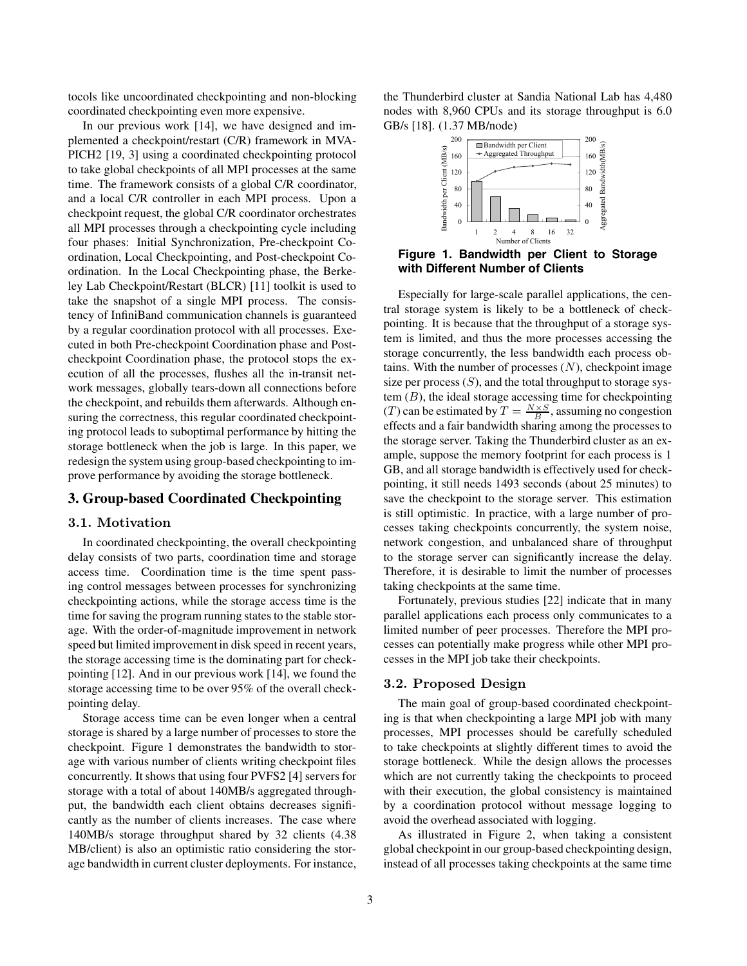tocols like uncoordinated checkpointing and non-blocking coordinated checkpointing even more expensive.

In our previous work [14], we have designed and implemented a checkpoint/restart (C/R) framework in MVA-PICH2 [19, 3] using a coordinated checkpointing protocol to take global checkpoints of all MPI processes at the same time. The framework consists of a global C/R coordinator, and a local C/R controller in each MPI process. Upon a checkpoint request, the global C/R coordinator orchestrates all MPI processes through a checkpointing cycle including four phases: Initial Synchronization, Pre-checkpoint Coordination, Local Checkpointing, and Post-checkpoint Coordination. In the Local Checkpointing phase, the Berkeley Lab Checkpoint/Restart (BLCR) [11] toolkit is used to take the snapshot of a single MPI process. The consistency of InfiniBand communication channels is guaranteed by a regular coordination protocol with all processes. Executed in both Pre-checkpoint Coordination phase and Postcheckpoint Coordination phase, the protocol stops the execution of all the processes, flushes all the in-transit network messages, globally tears-down all connections before the checkpoint, and rebuilds them afterwards. Although ensuring the correctness, this regular coordinated checkpointing protocol leads to suboptimal performance by hitting the storage bottleneck when the job is large. In this paper, we redesign the system using group-based checkpointing to improve performance by avoiding the storage bottleneck.

## **3. Group-based Coordinated Checkpointing**

### **3.1. Motivation**

In coordinated checkpointing, the overall checkpointing delay consists of two parts, coordination time and storage access time. Coordination time is the time spent passing control messages between processes for synchronizing checkpointing actions, while the storage access time is the time for saving the program running states to the stable storage. With the order-of-magnitude improvement in network speed but limited improvement in disk speed in recent years, the storage accessing time is the dominating part for checkpointing [12]. And in our previous work [14], we found the storage accessing time to be over 95% of the overall checkpointing delay.

Storage access time can be even longer when a central storage is shared by a large number of processes to store the checkpoint. Figure 1 demonstrates the bandwidth to storage with various number of clients writing checkpoint files concurrently. It shows that using four PVFS2 [4] servers for storage with a total of about 140MB/s aggregated throughput, the bandwidth each client obtains decreases significantly as the number of clients increases. The case where 140MB/s storage throughput shared by 32 clients (4.38 MB/client) is also an optimistic ratio considering the storage bandwidth in current cluster deployments. For instance, the Thunderbird cluster at Sandia National Lab has 4,480 nodes with 8,960 CPUs and its storage throughput is 6.0 GB/s [18]. (1.37 MB/node)



**Figure 1. Bandwidth per Client to Storage with Different Number of Clients**

Especially for large-scale parallel applications, the central storage system is likely to be a bottleneck of checkpointing. It is because that the throughput of a storage system is limited, and thus the more processes accessing the storage concurrently, the less bandwidth each process obtains. With the number of processes  $(N)$ , checkpoint image size per process  $(S)$ , and the total throughput to storage system (*B*), the ideal storage accessing time for checkpointing (*T*) can be estimated by  $T = \frac{N \times S}{B}$ , assuming no congestion effects and a fair bandwidth sharing among the processes to the storage server. Taking the Thunderbird cluster as an example, suppose the memory footprint for each process is 1 GB, and all storage bandwidth is effectively used for checkpointing, it still needs 1493 seconds (about 25 minutes) to save the checkpoint to the storage server. This estimation is still optimistic. In practice, with a large number of processes taking checkpoints concurrently, the system noise, network congestion, and unbalanced share of throughput to the storage server can significantly increase the delay. Therefore, it is desirable to limit the number of processes taking checkpoints at the same time.

Fortunately, previous studies [22] indicate that in many parallel applications each process only communicates to a limited number of peer processes. Therefore the MPI processes can potentially make progress while other MPI processes in the MPI job take their checkpoints.

## **3.2. Proposed Design**

The main goal of group-based coordinated checkpointing is that when checkpointing a large MPI job with many processes, MPI processes should be carefully scheduled to take checkpoints at slightly different times to avoid the storage bottleneck. While the design allows the processes which are not currently taking the checkpoints to proceed with their execution, the global consistency is maintained by a coordination protocol without message logging to avoid the overhead associated with logging.

As illustrated in Figure 2, when taking a consistent global checkpoint in our group-based checkpointing design, instead of all processes taking checkpoints at the same time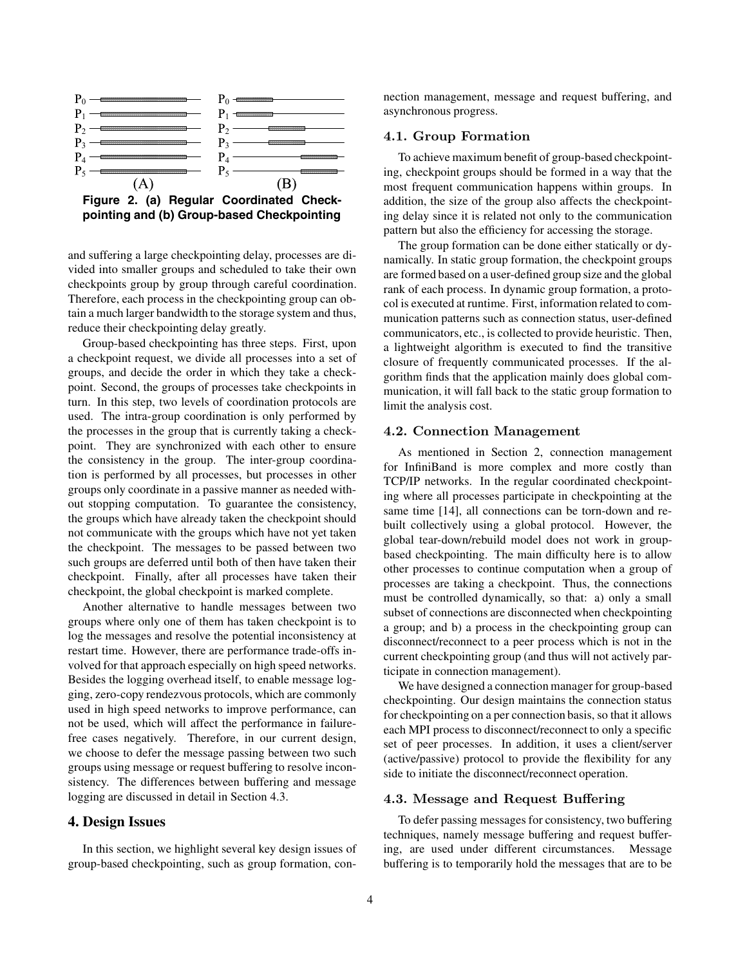

**pointing and (b) Group-based Checkpointing**

and suffering a large checkpointing delay, processes are divided into smaller groups and scheduled to take their own checkpoints group by group through careful coordination. Therefore, each process in the checkpointing group can obtain a much larger bandwidth to the storage system and thus, reduce their checkpointing delay greatly.

Group-based checkpointing has three steps. First, upon a checkpoint request, we divide all processes into a set of groups, and decide the order in which they take a checkpoint. Second, the groups of processes take checkpoints in turn. In this step, two levels of coordination protocols are used. The intra-group coordination is only performed by the processes in the group that is currently taking a checkpoint. They are synchronized with each other to ensure the consistency in the group. The inter-group coordination is performed by all processes, but processes in other groups only coordinate in a passive manner as needed without stopping computation. To guarantee the consistency, the groups which have already taken the checkpoint should not communicate with the groups which have not yet taken the checkpoint. The messages to be passed between two such groups are deferred until both of then have taken their checkpoint. Finally, after all processes have taken their checkpoint, the global checkpoint is marked complete.

Another alternative to handle messages between two groups where only one of them has taken checkpoint is to log the messages and resolve the potential inconsistency at restart time. However, there are performance trade-offs involved for that approach especially on high speed networks. Besides the logging overhead itself, to enable message logging, zero-copy rendezvous protocols, which are commonly used in high speed networks to improve performance, can not be used, which will affect the performance in failurefree cases negatively. Therefore, in our current design, we choose to defer the message passing between two such groups using message or request buffering to resolve inconsistency. The differences between buffering and message logging are discussed in detail in Section 4.3.

# **4. Design Issues**

In this section, we highlight several key design issues of group-based checkpointing, such as group formation, connection management, message and request buffering, and asynchronous progress.

#### **4.1. Group Formation**

To achieve maximum benefit of group-based checkpointing, checkpoint groups should be formed in a way that the most frequent communication happens within groups. In addition, the size of the group also affects the checkpointing delay since it is related not only to the communication pattern but also the efficiency for accessing the storage.

The group formation can be done either statically or dynamically. In static group formation, the checkpoint groups are formed based on a user-defined group size and the global rank of each process. In dynamic group formation, a protocol is executed at runtime. First, information related to communication patterns such as connection status, user-defined communicators, etc., is collected to provide heuristic. Then, a lightweight algorithm is executed to find the transitive closure of frequently communicated processes. If the algorithm finds that the application mainly does global communication, it will fall back to the static group formation to limit the analysis cost.

#### **4.2. Connection Management**

As mentioned in Section 2, connection management for InfiniBand is more complex and more costly than TCP/IP networks. In the regular coordinated checkpointing where all processes participate in checkpointing at the same time [14], all connections can be torn-down and rebuilt collectively using a global protocol. However, the global tear-down/rebuild model does not work in groupbased checkpointing. The main difficulty here is to allow other processes to continue computation when a group of processes are taking a checkpoint. Thus, the connections must be controlled dynamically, so that: a) only a small subset of connections are disconnected when checkpointing a group; and b) a process in the checkpointing group can disconnect/reconnect to a peer process which is not in the current checkpointing group (and thus will not actively participate in connection management).

We have designed a connection manager for group-based checkpointing. Our design maintains the connection status for checkpointing on a per connection basis, so that it allows each MPI process to disconnect/reconnect to only a specific set of peer processes. In addition, it uses a client/server (active/passive) protocol to provide the flexibility for any side to initiate the disconnect/reconnect operation.

## **4.3. Message and Request Buffering**

To defer passing messages for consistency, two buffering techniques, namely message buffering and request buffering, are used under different circumstances. Message buffering is to temporarily hold the messages that are to be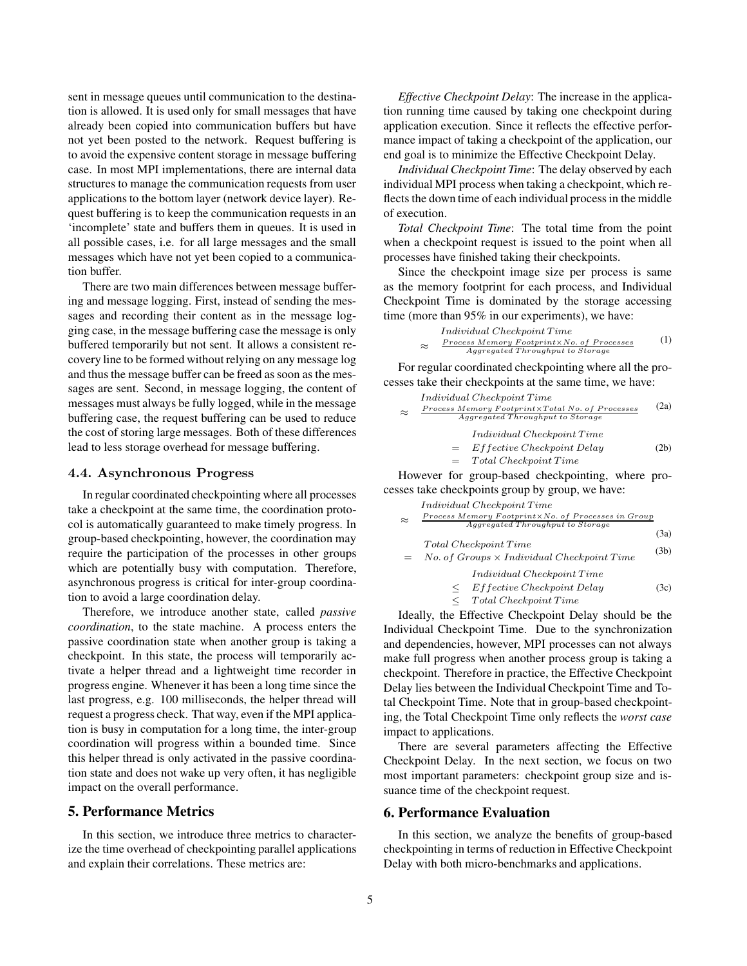sent in message queues until communication to the destination is allowed. It is used only for small messages that have already been copied into communication buffers but have not yet been posted to the network. Request buffering is to avoid the expensive content storage in message buffering case. In most MPI implementations, there are internal data structures to manage the communication requests from user applications to the bottom layer (network device layer). Request buffering is to keep the communication requests in an 'incomplete' state and buffers them in queues. It is used in all possible cases, i.e. for all large messages and the small messages which have not yet been copied to a communication buffer.

There are two main differences between message buffering and message logging. First, instead of sending the messages and recording their content as in the message logging case, in the message buffering case the message is only buffered temporarily but not sent. It allows a consistent recovery line to be formed without relying on any message log and thus the message buffer can be freed as soon as the messages are sent. Second, in message logging, the content of messages must always be fully logged, while in the message buffering case, the request buffering can be used to reduce the cost of storing large messages. Both of these differences lead to less storage overhead for message buffering.

#### **4.4. Asynchronous Progress**

In regular coordinated checkpointing where all processes take a checkpoint at the same time, the coordination protocol is automatically guaranteed to make timely progress. In group-based checkpointing, however, the coordination may require the participation of the processes in other groups which are potentially busy with computation. Therefore, asynchronous progress is critical for inter-group coordination to avoid a large coordination delay.

Therefore, we introduce another state, called *passive coordination*, to the state machine. A process enters the passive coordination state when another group is taking a checkpoint. In this state, the process will temporarily activate a helper thread and a lightweight time recorder in progress engine. Whenever it has been a long time since the last progress, e.g. 100 milliseconds, the helper thread will request a progress check. That way, even if the MPI application is busy in computation for a long time, the inter-group coordination will progress within a bounded time. Since this helper thread is only activated in the passive coordination state and does not wake up very often, it has negligible impact on the overall performance.

# **5. Performance Metrics**

In this section, we introduce three metrics to characterize the time overhead of checkpointing parallel applications and explain their correlations. These metrics are:

*Effective Checkpoint Delay*: The increase in the application running time caused by taking one checkpoint during application execution. Since it reflects the effective performance impact of taking a checkpoint of the application, our end goal is to minimize the Effective Checkpoint Delay.

*Individual Checkpoint Time*: The delay observed by each individual MPI process when taking a checkpoint, which reflects the down time of each individual process in the middle of execution.

*Total Checkpoint Time*: The total time from the point when a checkpoint request is issued to the point when all processes have finished taking their checkpoints.

Since the checkpoint image size per process is same as the memory footprint for each process, and Individual Checkpoint Time is dominated by the storage accessing time (more than 95% in our experiments), we have:

$$
Individual \, Checkpoint \, Time
$$
\n
$$
\approx \frac{Process \, Memory \, Footprint \times No. \, of \, Processes}{Aggregeted \, Throughput \, to \, Storage}
$$
\n(1)

For regular coordinated checkpointing where all the processes take their checkpoints at the same time, we have:

| Individual Checkpoint Time |                                                                                                   |      |
|----------------------------|---------------------------------------------------------------------------------------------------|------|
| $\approx$                  | $\frac{Process Memory Footprint \times Total No. of Processes}{Aggregeted Throughput to Storage}$ | (2a) |

*Individual Checkpoint T ime* = *Ef fective Checkpoint Delay* = *T otal Checkpoint T ime* (2b)

However for group-based checkpointing, where processes take checkpoints group by group, we have:

Individual Checkpoint Time

\n
$$
\approx \frac{Process Memory Footprint \times No. of Processes in Group Aggregated Throughput to Storage}{Aggregated Throughput to Storage}
$$
\n(3a)

$$
1\,\text{total}\,\text{C}\,\text{newpoint}\,1\,\text{time}
$$
\n
$$
= No.\,\text{of}\,\text{G} \text{rough} \times \text{Individual}\,\text{C}\,\text{heckpoint}\,\text{Time} \tag{3b}
$$

*Individual Checkpoint T ime*

$$
\leq \quad \text{E}ffective \text{ Checkpoint Delay} \tag{3c}
$$

<sup>≤</sup> *T otal Checkpoint T ime*

Ideally, the Effective Checkpoint Delay should be the Individual Checkpoint Time. Due to the synchronization and dependencies, however, MPI processes can not always make full progress when another process group is taking a checkpoint. Therefore in practice, the Effective Checkpoint Delay lies between the Individual Checkpoint Time and Total Checkpoint Time. Note that in group-based checkpointing, the Total Checkpoint Time only reflects the *worst case* impact to applications.

There are several parameters affecting the Effective Checkpoint Delay. In the next section, we focus on two most important parameters: checkpoint group size and issuance time of the checkpoint request.

## **6. Performance Evaluation**

In this section, we analyze the benefits of group-based checkpointing in terms of reduction in Effective Checkpoint Delay with both micro-benchmarks and applications.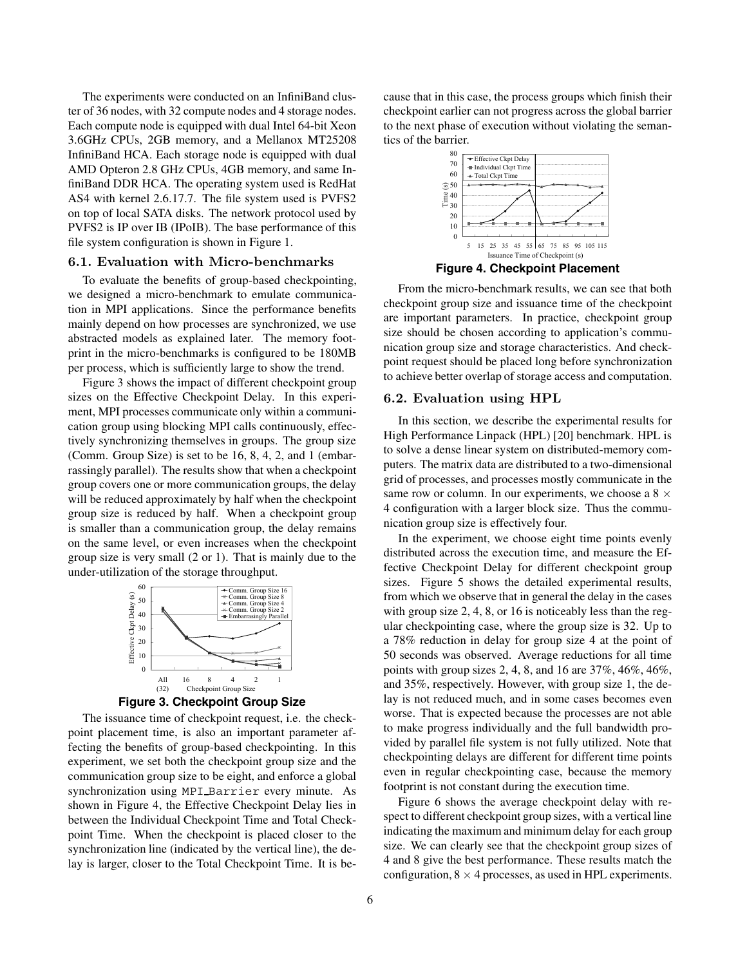The experiments were conducted on an InfiniBand cluster of 36 nodes, with 32 compute nodes and 4 storage nodes. Each compute node is equipped with dual Intel 64-bit Xeon 3.6GHz CPUs, 2GB memory, and a Mellanox MT25208 InfiniBand HCA. Each storage node is equipped with dual AMD Opteron 2.8 GHz CPUs, 4GB memory, and same InfiniBand DDR HCA. The operating system used is RedHat AS4 with kernel 2.6.17.7. The file system used is PVFS2 on top of local SATA disks. The network protocol used by PVFS2 is IP over IB (IPoIB). The base performance of this file system configuration is shown in Figure 1.

# **6.1. Evaluation with Micro-benchmarks**

To evaluate the benefits of group-based checkpointing, we designed a micro-benchmark to emulate communication in MPI applications. Since the performance benefits mainly depend on how processes are synchronized, we use abstracted models as explained later. The memory footprint in the micro-benchmarks is configured to be 180MB per process, which is sufficiently large to show the trend.

Figure 3 shows the impact of different checkpoint group sizes on the Effective Checkpoint Delay. In this experiment, MPI processes communicate only within a communication group using blocking MPI calls continuously, effectively synchronizing themselves in groups. The group size (Comm. Group Size) is set to be 16, 8, 4, 2, and 1 (embarrassingly parallel). The results show that when a checkpoint group covers one or more communication groups, the delay will be reduced approximately by half when the checkpoint group size is reduced by half. When a checkpoint group is smaller than a communication group, the delay remains on the same level, or even increases when the checkpoint group size is very small (2 or 1). That is mainly due to the under-utilization of the storage throughput.



**Figure 3. Checkpoint Group Size**

The issuance time of checkpoint request, i.e. the checkpoint placement time, is also an important parameter affecting the benefits of group-based checkpointing. In this experiment, we set both the checkpoint group size and the communication group size to be eight, and enforce a global synchronization using MPI Barrier every minute. As shown in Figure 4, the Effective Checkpoint Delay lies in between the Individual Checkpoint Time and Total Checkpoint Time. When the checkpoint is placed closer to the synchronization line (indicated by the vertical line), the delay is larger, closer to the Total Checkpoint Time. It is because that in this case, the process groups which finish their checkpoint earlier can not progress across the global barrier to the next phase of execution without violating the semantics of the barrier.



**Figure 4. Checkpoint Placement**

From the micro-benchmark results, we can see that both checkpoint group size and issuance time of the checkpoint are important parameters. In practice, checkpoint group size should be chosen according to application's communication group size and storage characteristics. And checkpoint request should be placed long before synchronization to achieve better overlap of storage access and computation.

#### **6.2. Evaluation using HPL**

In this section, we describe the experimental results for High Performance Linpack (HPL) [20] benchmark. HPL is to solve a dense linear system on distributed-memory computers. The matrix data are distributed to a two-dimensional grid of processes, and processes mostly communicate in the same row or column. In our experiments, we choose a  $8 \times$ 4 configuration with a larger block size. Thus the communication group size is effectively four.

In the experiment, we choose eight time points evenly distributed across the execution time, and measure the Effective Checkpoint Delay for different checkpoint group sizes. Figure 5 shows the detailed experimental results, from which we observe that in general the delay in the cases with group size 2, 4, 8, or 16 is noticeably less than the regular checkpointing case, where the group size is 32. Up to a 78% reduction in delay for group size 4 at the point of 50 seconds was observed. Average reductions for all time points with group sizes 2, 4, 8, and 16 are 37%, 46%, 46%, and 35%, respectively. However, with group size 1, the delay is not reduced much, and in some cases becomes even worse. That is expected because the processes are not able to make progress individually and the full bandwidth provided by parallel file system is not fully utilized. Note that checkpointing delays are different for different time points even in regular checkpointing case, because the memory footprint is not constant during the execution time.

Figure 6 shows the average checkpoint delay with respect to different checkpoint group sizes, with a vertical line indicating the maximum and minimum delay for each group size. We can clearly see that the checkpoint group sizes of 4 and 8 give the best performance. These results match the configuration,  $8 \times 4$  processes, as used in HPL experiments.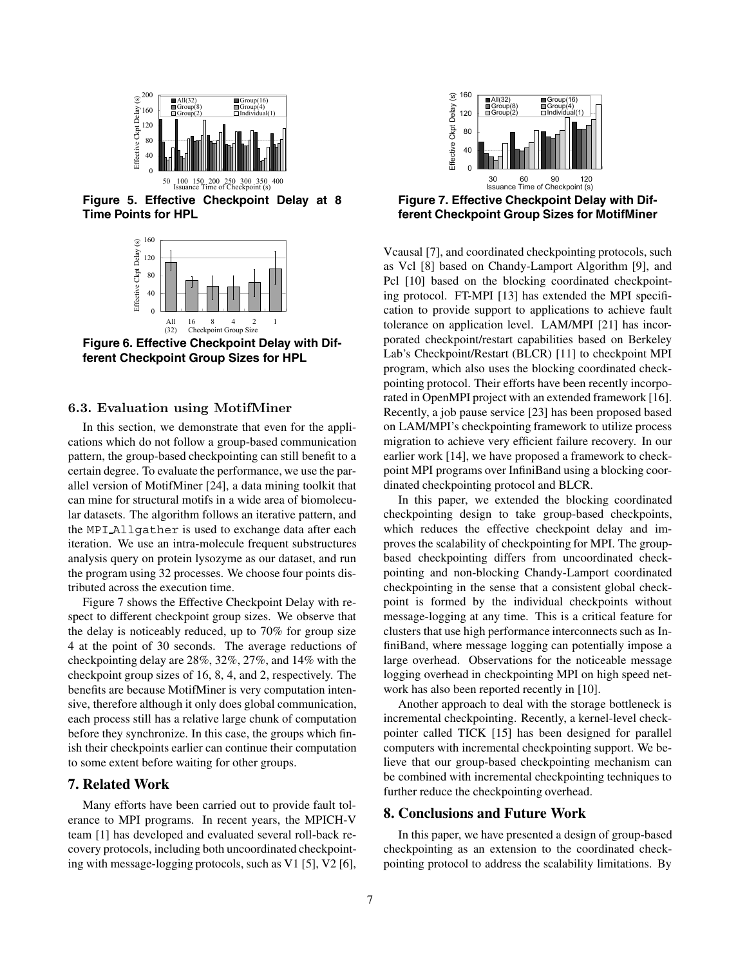

**Figure 5. Effective Checkpoint Delay at 8 Time Points for HPL**



**Figure 6. Effective Checkpoint Delay with Different Checkpoint Group Sizes for HPL**

## **6.3. Evaluation using MotifMiner**

In this section, we demonstrate that even for the applications which do not follow a group-based communication pattern, the group-based checkpointing can still benefit to a certain degree. To evaluate the performance, we use the parallel version of MotifMiner [24], a data mining toolkit that can mine for structural motifs in a wide area of biomolecular datasets. The algorithm follows an iterative pattern, and the MPI Allgather is used to exchange data after each iteration. We use an intra-molecule frequent substructures analysis query on protein lysozyme as our dataset, and run the program using 32 processes. We choose four points distributed across the execution time.

Figure 7 shows the Effective Checkpoint Delay with respect to different checkpoint group sizes. We observe that the delay is noticeably reduced, up to 70% for group size 4 at the point of 30 seconds. The average reductions of checkpointing delay are 28%, 32%, 27%, and 14% with the checkpoint group sizes of 16, 8, 4, and 2, respectively. The benefits are because MotifMiner is very computation intensive, therefore although it only does global communication, each process still has a relative large chunk of computation before they synchronize. In this case, the groups which finish their checkpoints earlier can continue their computation to some extent before waiting for other groups.

## **7. Related Work**

Many efforts have been carried out to provide fault tolerance to MPI programs. In recent years, the MPICH-V team [1] has developed and evaluated several roll-back recovery protocols, including both uncoordinated checkpointing with message-logging protocols, such as V1 [5], V2 [6],



**Figure 7. Effective Checkpoint Delay with Different Checkpoint Group Sizes for MotifMiner**

Vcausal [7], and coordinated checkpointing protocols, such as Vcl [8] based on Chandy-Lamport Algorithm [9], and Pcl [10] based on the blocking coordinated checkpointing protocol. FT-MPI [13] has extended the MPI specification to provide support to applications to achieve fault tolerance on application level. LAM/MPI [21] has incorporated checkpoint/restart capabilities based on Berkeley Lab's Checkpoint/Restart (BLCR) [11] to checkpoint MPI program, which also uses the blocking coordinated checkpointing protocol. Their efforts have been recently incorporated in OpenMPI project with an extended framework [16]. Recently, a job pause service [23] has been proposed based on LAM/MPI's checkpointing framework to utilize process migration to achieve very efficient failure recovery. In our earlier work [14], we have proposed a framework to checkpoint MPI programs over InfiniBand using a blocking coordinated checkpointing protocol and BLCR.

In this paper, we extended the blocking coordinated checkpointing design to take group-based checkpoints, which reduces the effective checkpoint delay and improves the scalability of checkpointing for MPI. The groupbased checkpointing differs from uncoordinated checkpointing and non-blocking Chandy-Lamport coordinated checkpointing in the sense that a consistent global checkpoint is formed by the individual checkpoints without message-logging at any time. This is a critical feature for clusters that use high performance interconnects such as InfiniBand, where message logging can potentially impose a large overhead. Observations for the noticeable message logging overhead in checkpointing MPI on high speed network has also been reported recently in [10].

Another approach to deal with the storage bottleneck is incremental checkpointing. Recently, a kernel-level checkpointer called TICK [15] has been designed for parallel computers with incremental checkpointing support. We believe that our group-based checkpointing mechanism can be combined with incremental checkpointing techniques to further reduce the checkpointing overhead.

## **8. Conclusions and Future Work**

In this paper, we have presented a design of group-based checkpointing as an extension to the coordinated checkpointing protocol to address the scalability limitations. By